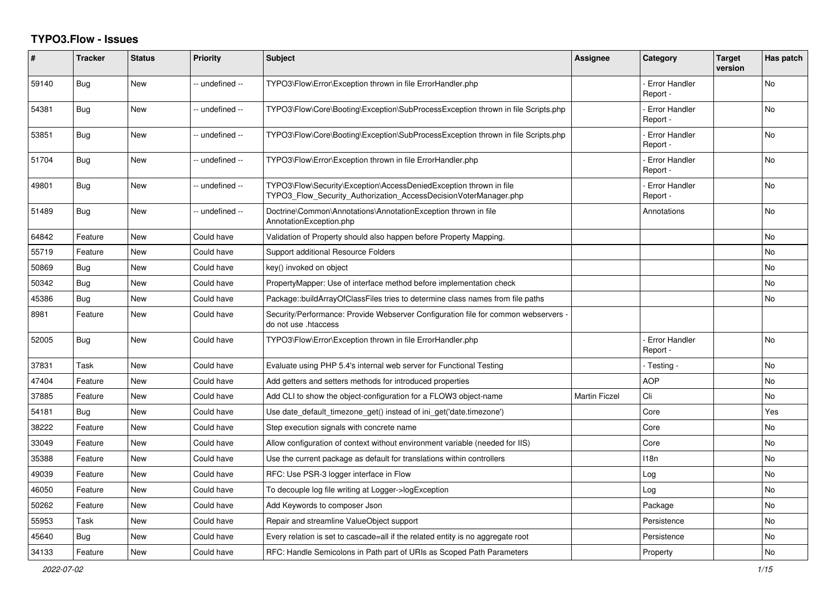## **TYPO3.Flow - Issues**

| #     | <b>Tracker</b> | <b>Status</b> | <b>Priority</b> | <b>Subject</b>                                                                                                                         | <b>Assignee</b>      | Category                         | Target<br>version | Has patch      |
|-------|----------------|---------------|-----------------|----------------------------------------------------------------------------------------------------------------------------------------|----------------------|----------------------------------|-------------------|----------------|
| 59140 | <b>Bug</b>     | <b>New</b>    | -- undefined -- | TYPO3\Flow\Error\Exception thrown in file ErrorHandler.php                                                                             |                      | <b>Error Handler</b><br>Report - |                   | <b>No</b>      |
| 54381 | Bug            | <b>New</b>    | - undefined --  | TYPO3\Flow\Core\Booting\Exception\SubProcessException thrown in file Scripts.php                                                       |                      | <b>Error Handler</b><br>Report - |                   | No             |
| 53851 | Bug            | <b>New</b>    | -- undefined -- | TYPO3\Flow\Core\Booting\Exception\SubProcessException thrown in file Scripts.php                                                       |                      | <b>Error Handler</b><br>Report - |                   | No.            |
| 51704 | <b>Bug</b>     | <b>New</b>    | - undefined --  | TYPO3\Flow\Error\Exception thrown in file ErrorHandler.php                                                                             |                      | Error Handler<br>Report -        |                   | No             |
| 49801 | <b>Bug</b>     | New           | -- undefined -- | TYPO3\Flow\Security\Exception\AccessDeniedException thrown in file<br>TYPO3 Flow Security Authorization AccessDecisionVoterManager.php |                      | <b>Error Handler</b><br>Report - |                   | No.            |
| 51489 | Bug            | <b>New</b>    | -- undefined -- | Doctrine\Common\Annotations\AnnotationException thrown in file<br>AnnotationException.php                                              |                      | Annotations                      |                   | N <sub>o</sub> |
| 64842 | Feature        | New           | Could have      | Validation of Property should also happen before Property Mapping.                                                                     |                      |                                  |                   | No             |
| 55719 | Feature        | New           | Could have      | Support additional Resource Folders                                                                                                    |                      |                                  |                   | <b>No</b>      |
| 50869 | Bug            | <b>New</b>    | Could have      | key() invoked on object                                                                                                                |                      |                                  |                   | <b>No</b>      |
| 50342 | Bug            | New           | Could have      | PropertyMapper: Use of interface method before implementation check                                                                    |                      |                                  |                   | No             |
| 45386 | Bug            | <b>New</b>    | Could have      | Package::buildArrayOfClassFiles tries to determine class names from file paths                                                         |                      |                                  |                   | No             |
| 8981  | Feature        | <b>New</b>    | Could have      | Security/Performance: Provide Webserver Configuration file for common webservers -<br>do not use .htaccess                             |                      |                                  |                   |                |
| 52005 | <b>Bug</b>     | New           | Could have      | TYPO3\Flow\Error\Exception thrown in file ErrorHandler.php                                                                             |                      | <b>Error Handler</b><br>Report - |                   | No             |
| 37831 | Task           | <b>New</b>    | Could have      | Evaluate using PHP 5.4's internal web server for Functional Testing                                                                    |                      | - Testing -                      |                   | <b>No</b>      |
| 47404 | Feature        | New           | Could have      | Add getters and setters methods for introduced properties                                                                              |                      | <b>AOP</b>                       |                   | N <sub>o</sub> |
| 37885 | Feature        | <b>New</b>    | Could have      | Add CLI to show the object-configuration for a FLOW3 object-name                                                                       | <b>Martin Ficzel</b> | Cli                              |                   | <b>No</b>      |
| 54181 | Bug            | New           | Could have      | Use date default timezone get() instead of ini get('date.timezone')                                                                    |                      | Core                             |                   | Yes            |
| 38222 | Feature        | New           | Could have      | Step execution signals with concrete name                                                                                              |                      | Core                             |                   | No             |
| 33049 | Feature        | <b>New</b>    | Could have      | Allow configuration of context without environment variable (needed for IIS)                                                           |                      | Core                             |                   | N <sub>o</sub> |
| 35388 | Feature        | New           | Could have      | Use the current package as default for translations within controllers                                                                 |                      | 118n                             |                   | No             |
| 49039 | Feature        | New           | Could have      | RFC: Use PSR-3 logger interface in Flow                                                                                                |                      | Log                              |                   | No             |
| 46050 | Feature        | New           | Could have      | To decouple log file writing at Logger->logException                                                                                   |                      | Log                              |                   | No             |
| 50262 | Feature        | New           | Could have      | Add Keywords to composer Json                                                                                                          |                      | Package                          |                   | No             |
| 55953 | Task           | New           | Could have      | Repair and streamline ValueObject support                                                                                              |                      | Persistence                      |                   | No             |
| 45640 | Bug            | <b>New</b>    | Could have      | Every relation is set to cascade=all if the related entity is no aggregate root                                                        |                      | Persistence                      |                   | No             |
| 34133 | Feature        | <b>New</b>    | Could have      | RFC: Handle Semicolons in Path part of URIs as Scoped Path Parameters                                                                  |                      | Property                         |                   | <b>No</b>      |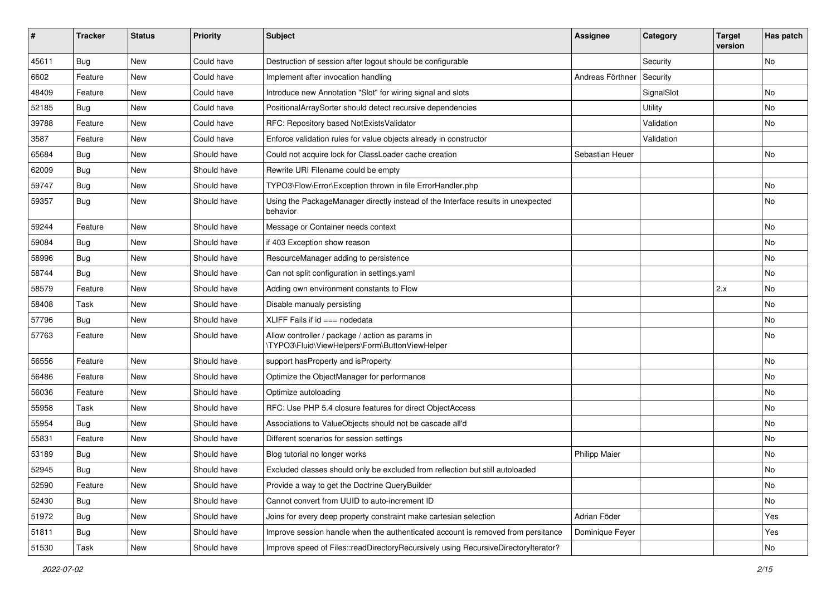| ∦     | <b>Tracker</b> | <b>Status</b> | <b>Priority</b> | <b>Subject</b>                                                                                     | <b>Assignee</b>      | Category   | <b>Target</b><br>version | Has patch |
|-------|----------------|---------------|-----------------|----------------------------------------------------------------------------------------------------|----------------------|------------|--------------------------|-----------|
| 45611 | Bug            | New           | Could have      | Destruction of session after logout should be configurable                                         |                      | Security   |                          | No        |
| 6602  | Feature        | <b>New</b>    | Could have      | Implement after invocation handling                                                                | Andreas Förthner     | Security   |                          |           |
| 48409 | Feature        | New           | Could have      | Introduce new Annotation "Slot" for wiring signal and slots                                        |                      | SignalSlot |                          | No        |
| 52185 | Bug            | <b>New</b>    | Could have      | PositionalArraySorter should detect recursive dependencies                                         |                      | Utility    |                          | No        |
| 39788 | Feature        | New           | Could have      | RFC: Repository based NotExistsValidator                                                           |                      | Validation |                          | No        |
| 3587  | Feature        | <b>New</b>    | Could have      | Enforce validation rules for value objects already in constructor                                  |                      | Validation |                          |           |
| 65684 | Bug            | New           | Should have     | Could not acquire lock for ClassLoader cache creation                                              | Sebastian Heuer      |            |                          | No        |
| 62009 | <b>Bug</b>     | New           | Should have     | Rewrite URI Filename could be empty                                                                |                      |            |                          |           |
| 59747 | Bug            | New           | Should have     | TYPO3\Flow\Error\Exception thrown in file ErrorHandler.php                                         |                      |            |                          | No        |
| 59357 | <b>Bug</b>     | New           | Should have     | Using the PackageManager directly instead of the Interface results in unexpected<br>behavior       |                      |            |                          | No        |
| 59244 | Feature        | <b>New</b>    | Should have     | Message or Container needs context                                                                 |                      |            |                          | No        |
| 59084 | Bug            | New           | Should have     | if 403 Exception show reason                                                                       |                      |            |                          | No        |
| 58996 | Bug            | <b>New</b>    | Should have     | ResourceManager adding to persistence                                                              |                      |            |                          | <b>No</b> |
| 58744 | <b>Bug</b>     | New           | Should have     | Can not split configuration in settings.yaml                                                       |                      |            |                          | No        |
| 58579 | Feature        | New           | Should have     | Adding own environment constants to Flow                                                           |                      |            | 2.x                      | No        |
| 58408 | Task           | <b>New</b>    | Should have     | Disable manualy persisting                                                                         |                      |            |                          | No        |
| 57796 | <b>Bug</b>     | New           | Should have     | XLIFF Fails if $id ==$ nodedata                                                                    |                      |            |                          | No        |
| 57763 | Feature        | New           | Should have     | Allow controller / package / action as params in<br>\TYPO3\Fluid\ViewHelpers\Form\ButtonViewHelper |                      |            |                          | No        |
| 56556 | Feature        | New           | Should have     | support hasProperty and isProperty                                                                 |                      |            |                          | No        |
| 56486 | Feature        | New           | Should have     | Optimize the ObjectManager for performance                                                         |                      |            |                          | No        |
| 56036 | Feature        | <b>New</b>    | Should have     | Optimize autoloading                                                                               |                      |            |                          | No        |
| 55958 | Task           | New           | Should have     | RFC: Use PHP 5.4 closure features for direct ObjectAccess                                          |                      |            |                          | No        |
| 55954 | Bug            | <b>New</b>    | Should have     | Associations to ValueObjects should not be cascade all'd                                           |                      |            |                          | No        |
| 55831 | Feature        | New           | Should have     | Different scenarios for session settings                                                           |                      |            |                          | No        |
| 53189 | <b>Bug</b>     | New           | Should have     | Blog tutorial no longer works                                                                      | <b>Philipp Maier</b> |            |                          | No        |
| 52945 | Bug            | New           | Should have     | Excluded classes should only be excluded from reflection but still autoloaded                      |                      |            |                          | No        |
| 52590 | Feature        | New           | Should have     | Provide a way to get the Doctrine QueryBuilder                                                     |                      |            |                          | No        |
| 52430 | Bug            | New           | Should have     | Cannot convert from UUID to auto-increment ID                                                      |                      |            |                          | No        |
| 51972 | <b>Bug</b>     | New           | Should have     | Joins for every deep property constraint make cartesian selection                                  | Adrian Föder         |            |                          | Yes       |
| 51811 | <b>Bug</b>     | New           | Should have     | Improve session handle when the authenticated account is removed from persitance                   | Dominique Feyer      |            |                          | Yes       |
| 51530 | Task           | New           | Should have     | Improve speed of Files::readDirectoryRecursively using RecursiveDirectoryIterator?                 |                      |            |                          | No        |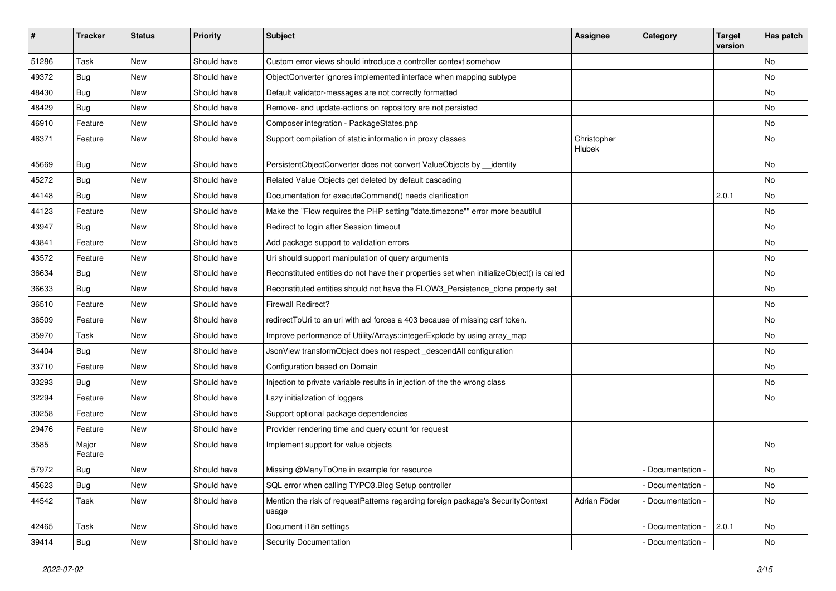| ∦     | <b>Tracker</b>   | <b>Status</b> | <b>Priority</b> | <b>Subject</b>                                                                            | <b>Assignee</b>       | Category          | <b>Target</b><br>version | Has patch |
|-------|------------------|---------------|-----------------|-------------------------------------------------------------------------------------------|-----------------------|-------------------|--------------------------|-----------|
| 51286 | Task             | New           | Should have     | Custom error views should introduce a controller context somehow                          |                       |                   |                          | No        |
| 49372 | <b>Bug</b>       | New           | Should have     | ObjectConverter ignores implemented interface when mapping subtype                        |                       |                   |                          | No        |
| 48430 | <b>Bug</b>       | New           | Should have     | Default validator-messages are not correctly formatted                                    |                       |                   |                          | No        |
| 48429 | Bug              | New           | Should have     | Remove- and update-actions on repository are not persisted                                |                       |                   |                          | No        |
| 46910 | Feature          | New           | Should have     | Composer integration - PackageStates.php                                                  |                       |                   |                          | No        |
| 46371 | Feature          | New           | Should have     | Support compilation of static information in proxy classes                                | Christopher<br>Hlubek |                   |                          | No        |
| 45669 | <b>Bug</b>       | New           | Should have     | PersistentObjectConverter does not convert ValueObjects by __identity                     |                       |                   |                          | <b>No</b> |
| 45272 | <b>Bug</b>       | New           | Should have     | Related Value Objects get deleted by default cascading                                    |                       |                   |                          | No        |
| 44148 | Bug              | New           | Should have     | Documentation for executeCommand() needs clarification                                    |                       |                   | 2.0.1                    | No        |
| 44123 | Feature          | New           | Should have     | Make the "Flow requires the PHP setting "date.timezone"" error more beautiful             |                       |                   |                          | No        |
| 43947 | <b>Bug</b>       | New           | Should have     | Redirect to login after Session timeout                                                   |                       |                   |                          | No        |
| 43841 | Feature          | New           | Should have     | Add package support to validation errors                                                  |                       |                   |                          | No        |
| 43572 | Feature          | New           | Should have     | Uri should support manipulation of query arguments                                        |                       |                   |                          | <b>No</b> |
| 36634 | <b>Bug</b>       | New           | Should have     | Reconstituted entities do not have their properties set when initializeObject() is called |                       |                   |                          | No        |
| 36633 | <b>Bug</b>       | New           | Should have     | Reconstituted entities should not have the FLOW3_Persistence_clone property set           |                       |                   |                          | No        |
| 36510 | Feature          | New           | Should have     | <b>Firewall Redirect?</b>                                                                 |                       |                   |                          | No        |
| 36509 | Feature          | New           | Should have     | redirect ToUri to an uri with acl forces a 403 because of missing csrf token.             |                       |                   |                          | No        |
| 35970 | Task             | New           | Should have     | Improve performance of Utility/Arrays::integerExplode by using array_map                  |                       |                   |                          | <b>No</b> |
| 34404 | <b>Bug</b>       | New           | Should have     | JsonView transformObject does not respect_descendAll configuration                        |                       |                   |                          | No        |
| 33710 | Feature          | New           | Should have     | Configuration based on Domain                                                             |                       |                   |                          | No        |
| 33293 | <b>Bug</b>       | New           | Should have     | Injection to private variable results in injection of the the wrong class                 |                       |                   |                          | No        |
| 32294 | Feature          | New           | Should have     | Lazy initialization of loggers                                                            |                       |                   |                          | No        |
| 30258 | Feature          | New           | Should have     | Support optional package dependencies                                                     |                       |                   |                          |           |
| 29476 | Feature          | New           | Should have     | Provider rendering time and query count for request                                       |                       |                   |                          |           |
| 3585  | Major<br>Feature | New           | Should have     | Implement support for value objects                                                       |                       |                   |                          | No        |
| 57972 | Bug              | New           | Should have     | Missing @ManyToOne in example for resource                                                |                       | - Documentation - |                          | No        |
| 45623 | <b>Bug</b>       | New           | Should have     | SQL error when calling TYPO3.Blog Setup controller                                        |                       | Documentation -   |                          | No        |
| 44542 | Task             | New           | Should have     | Mention the risk of requestPatterns regarding foreign package's SecurityContext<br>usage  | Adrian Föder          | Documentation -   |                          | No        |
| 42465 | Task             | New           | Should have     | Document i18n settings                                                                    |                       | Documentation -   | 2.0.1                    | No        |
| 39414 | <b>Bug</b>       | New           | Should have     | Security Documentation                                                                    |                       | Documentation -   |                          | No        |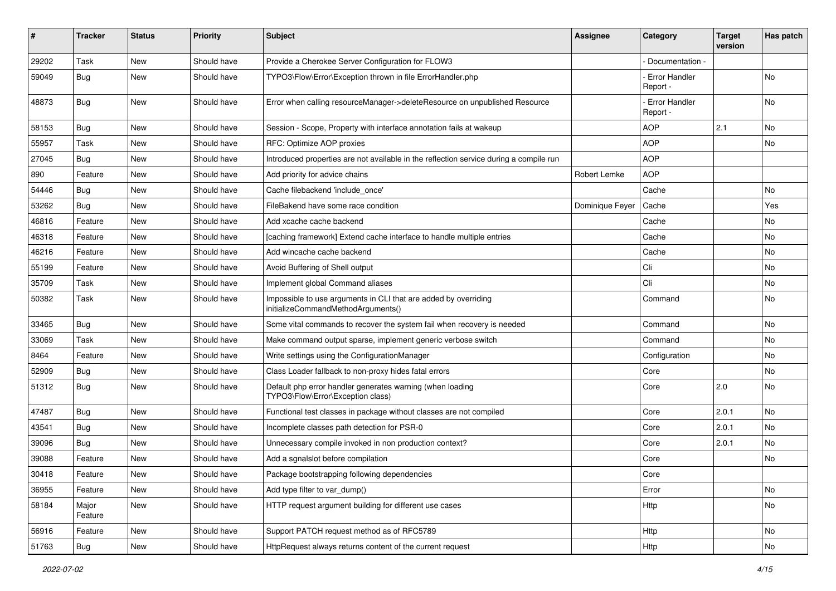| ∦     | <b>Tracker</b>   | <b>Status</b> | <b>Priority</b> | <b>Subject</b>                                                                                        | <b>Assignee</b> | Category                  | <b>Target</b><br>version | Has patch |
|-------|------------------|---------------|-----------------|-------------------------------------------------------------------------------------------------------|-----------------|---------------------------|--------------------------|-----------|
| 29202 | Task             | New           | Should have     | Provide a Cherokee Server Configuration for FLOW3                                                     |                 | Documentation -           |                          |           |
| 59049 | Bug              | New           | Should have     | TYPO3\Flow\Error\Exception thrown in file ErrorHandler.php                                            |                 | Error Handler<br>Report - |                          | No        |
| 48873 | Bug              | <b>New</b>    | Should have     | Error when calling resourceManager->deleteResource on unpublished Resource                            |                 | Error Handler<br>Report - |                          | <b>No</b> |
| 58153 | <b>Bug</b>       | <b>New</b>    | Should have     | Session - Scope, Property with interface annotation fails at wakeup                                   |                 | <b>AOP</b>                | 2.1                      | No        |
| 55957 | Task             | New           | Should have     | RFC: Optimize AOP proxies                                                                             |                 | <b>AOP</b>                |                          | No        |
| 27045 | <b>Bug</b>       | New           | Should have     | Introduced properties are not available in the reflection service during a compile run                |                 | <b>AOP</b>                |                          |           |
| 890   | Feature          | New           | Should have     | Add priority for advice chains                                                                        | Robert Lemke    | <b>AOP</b>                |                          |           |
| 54446 | <b>Bug</b>       | New           | Should have     | Cache filebackend 'include once'                                                                      |                 | Cache                     |                          | No        |
| 53262 | <b>Bug</b>       | New           | Should have     | FileBakend have some race condition                                                                   | Dominique Feyer | Cache                     |                          | Yes       |
| 46816 | Feature          | <b>New</b>    | Should have     | Add xcache cache backend                                                                              |                 | Cache                     |                          | No        |
| 46318 | Feature          | New           | Should have     | [caching framework] Extend cache interface to handle multiple entries                                 |                 | Cache                     |                          | No        |
| 46216 | Feature          | <b>New</b>    | Should have     | Add wincache cache backend                                                                            |                 | Cache                     |                          | <b>No</b> |
| 55199 | Feature          | New           | Should have     | Avoid Buffering of Shell output                                                                       |                 | Cli                       |                          | No        |
| 35709 | Task             | New           | Should have     | Implement global Command aliases                                                                      |                 | Cli                       |                          | No        |
| 50382 | Task             | <b>New</b>    | Should have     | Impossible to use arguments in CLI that are added by overriding<br>initializeCommandMethodArguments() |                 | Command                   |                          | <b>No</b> |
| 33465 | <b>Bug</b>       | New           | Should have     | Some vital commands to recover the system fail when recovery is needed                                |                 | Command                   |                          | No        |
| 33069 | Task             | New           | Should have     | Make command output sparse, implement generic verbose switch                                          |                 | Command                   |                          | No        |
| 8464  | Feature          | New           | Should have     | Write settings using the ConfigurationManager                                                         |                 | Configuration             |                          | No        |
| 52909 | Bug              | New           | Should have     | Class Loader fallback to non-proxy hides fatal errors                                                 |                 | Core                      |                          | No        |
| 51312 | <b>Bug</b>       | New           | Should have     | Default php error handler generates warning (when loading<br>TYPO3\Flow\Error\Exception class)        |                 | Core                      | 2.0                      | <b>No</b> |
| 47487 | Bug              | <b>New</b>    | Should have     | Functional test classes in package without classes are not compiled                                   |                 | Core                      | 2.0.1                    | <b>No</b> |
| 43541 | <b>Bug</b>       | New           | Should have     | Incomplete classes path detection for PSR-0                                                           |                 | Core                      | 2.0.1                    | No        |
| 39096 | <b>Bug</b>       | New           | Should have     | Unnecessary compile invoked in non production context?                                                |                 | Core                      | 2.0.1                    | No        |
| 39088 | Feature          | New           | Should have     | Add a sgnalslot before compilation                                                                    |                 | Core                      |                          | No        |
| 30418 | Feature          | New           | Should have     | Package bootstrapping following dependencies                                                          |                 | Core                      |                          |           |
| 36955 | Feature          | New           | Should have     | Add type filter to var_dump()                                                                         |                 | Error                     |                          | No        |
| 58184 | Major<br>Feature | New           | Should have     | HTTP request argument building for different use cases                                                |                 | Http                      |                          | No        |
| 56916 | Feature          | New           | Should have     | Support PATCH request method as of RFC5789                                                            |                 | Http                      |                          | No        |
| 51763 | Bug              | New           | Should have     | HttpRequest always returns content of the current request                                             |                 | <b>Http</b>               |                          | No        |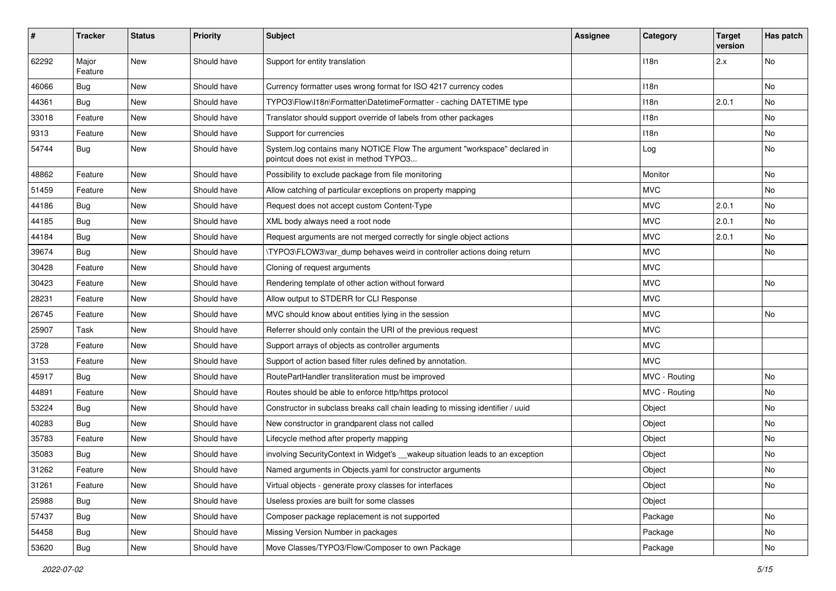| #     | <b>Tracker</b>   | <b>Status</b> | <b>Priority</b> | <b>Subject</b>                                                                                                       | <b>Assignee</b> | Category         | <b>Target</b><br>version | Has patch |
|-------|------------------|---------------|-----------------|----------------------------------------------------------------------------------------------------------------------|-----------------|------------------|--------------------------|-----------|
| 62292 | Major<br>Feature | New           | Should have     | Support for entity translation                                                                                       |                 | 118n             | 2.x                      | No        |
| 46066 | <b>Bug</b>       | New           | Should have     | Currency formatter uses wrong format for ISO 4217 currency codes                                                     |                 | 118 <sub>n</sub> |                          | No        |
| 44361 | Bug              | <b>New</b>    | Should have     | TYPO3\Flow\I18n\Formatter\DatetimeFormatter - caching DATETIME type                                                  |                 | 118n             | 2.0.1                    | No        |
| 33018 | Feature          | New           | Should have     | Translator should support override of labels from other packages                                                     |                 | 118n             |                          | No        |
| 9313  | Feature          | New           | Should have     | Support for currencies                                                                                               |                 | 118n             |                          | <b>No</b> |
| 54744 | <b>Bug</b>       | New           | Should have     | System.log contains many NOTICE Flow The argument "workspace" declared in<br>pointcut does not exist in method TYPO3 |                 | Log              |                          | No        |
| 48862 | Feature          | New           | Should have     | Possibility to exclude package from file monitoring                                                                  |                 | Monitor          |                          | No        |
| 51459 | Feature          | New           | Should have     | Allow catching of particular exceptions on property mapping                                                          |                 | <b>MVC</b>       |                          | No        |
| 44186 | <b>Bug</b>       | New           | Should have     | Request does not accept custom Content-Type                                                                          |                 | <b>MVC</b>       | 2.0.1                    | No        |
| 44185 | Bug              | New           | Should have     | XML body always need a root node                                                                                     |                 | <b>MVC</b>       | 2.0.1                    | No        |
| 44184 | <b>Bug</b>       | New           | Should have     | Request arguments are not merged correctly for single object actions                                                 |                 | <b>MVC</b>       | 2.0.1                    | No        |
| 39674 | <b>Bug</b>       | New           | Should have     | \TYPO3\FLOW3\var_dump behaves weird in controller actions doing return                                               |                 | <b>MVC</b>       |                          | <b>No</b> |
| 30428 | Feature          | New           | Should have     | Cloning of request arguments                                                                                         |                 | <b>MVC</b>       |                          |           |
| 30423 | Feature          | New           | Should have     | Rendering template of other action without forward                                                                   |                 | <b>MVC</b>       |                          | No        |
| 28231 | Feature          | New           | Should have     | Allow output to STDERR for CLI Response                                                                              |                 | <b>MVC</b>       |                          |           |
| 26745 | Feature          | New           | Should have     | MVC should know about entities lying in the session                                                                  |                 | <b>MVC</b>       |                          | No        |
| 25907 | Task             | New           | Should have     | Referrer should only contain the URI of the previous request                                                         |                 | <b>MVC</b>       |                          |           |
| 3728  | Feature          | New           | Should have     | Support arrays of objects as controller arguments                                                                    |                 | <b>MVC</b>       |                          |           |
| 3153  | Feature          | New           | Should have     | Support of action based filter rules defined by annotation.                                                          |                 | <b>MVC</b>       |                          |           |
| 45917 | Bug              | New           | Should have     | RoutePartHandler transliteration must be improved                                                                    |                 | MVC - Routing    |                          | No        |
| 44891 | Feature          | New           | Should have     | Routes should be able to enforce http/https protocol                                                                 |                 | MVC - Routing    |                          | No        |
| 53224 | <b>Bug</b>       | New           | Should have     | Constructor in subclass breaks call chain leading to missing identifier / uuid                                       |                 | Object           |                          | No        |
| 40283 | <b>Bug</b>       | New           | Should have     | New constructor in grandparent class not called                                                                      |                 | Object           |                          | No        |
| 35783 | Feature          | New           | Should have     | Lifecycle method after property mapping                                                                              |                 | Object           |                          | No        |
| 35083 | <b>Bug</b>       | New           | Should have     | involving SecurityContext in Widget's __wakeup situation leads to an exception                                       |                 | Object           |                          | No        |
| 31262 | Feature          | New           | Should have     | Named arguments in Objects yaml for constructor arguments                                                            |                 | Object           |                          | No        |
| 31261 | Feature          | New           | Should have     | Virtual objects - generate proxy classes for interfaces                                                              |                 | Object           |                          | No        |
| 25988 | Bug              | New           | Should have     | Useless proxies are built for some classes                                                                           |                 | Object           |                          |           |
| 57437 | <b>Bug</b>       | New           | Should have     | Composer package replacement is not supported                                                                        |                 | Package          |                          | No        |
| 54458 | Bug              | New           | Should have     | Missing Version Number in packages                                                                                   |                 | Package          |                          | No        |
| 53620 | Bug              | New           | Should have     | Move Classes/TYPO3/Flow/Composer to own Package                                                                      |                 | Package          |                          | No        |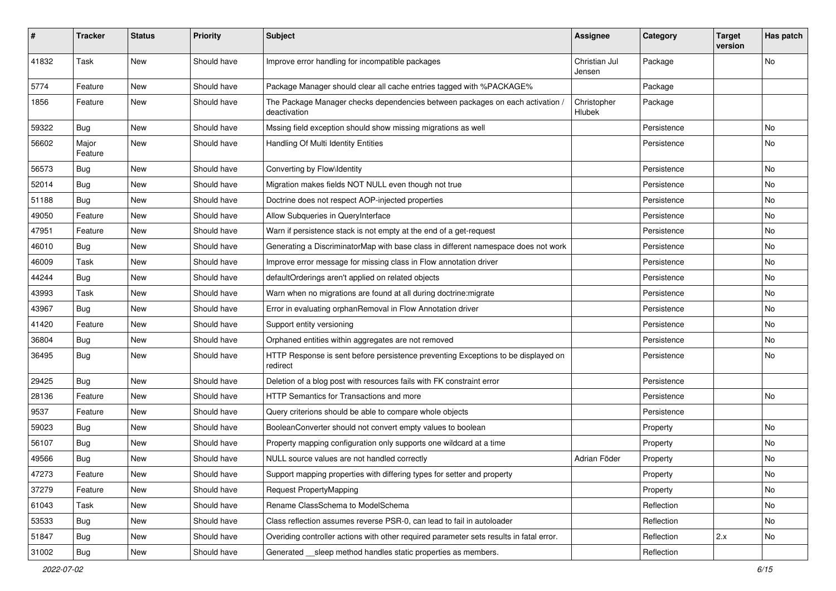| #     | <b>Tracker</b>   | <b>Status</b> | <b>Priority</b> | <b>Subject</b>                                                                                | <b>Assignee</b>         | Category    | <b>Target</b><br>version | Has patch |
|-------|------------------|---------------|-----------------|-----------------------------------------------------------------------------------------------|-------------------------|-------------|--------------------------|-----------|
| 41832 | Task             | New           | Should have     | Improve error handling for incompatible packages                                              | Christian Jul<br>Jensen | Package     |                          | No        |
| 5774  | Feature          | New           | Should have     | Package Manager should clear all cache entries tagged with %PACKAGE%                          |                         | Package     |                          |           |
| 1856  | Feature          | New           | Should have     | The Package Manager checks dependencies between packages on each activation,<br>deactivation  | Christopher<br>Hlubek   | Package     |                          |           |
| 59322 | <b>Bug</b>       | New           | Should have     | Mssing field exception should show missing migrations as well                                 |                         | Persistence |                          | <b>No</b> |
| 56602 | Major<br>Feature | New           | Should have     | Handling Of Multi Identity Entities                                                           |                         | Persistence |                          | No        |
| 56573 | <b>Bug</b>       | New           | Should have     | Converting by Flow\Identity                                                                   |                         | Persistence |                          | No        |
| 52014 | <b>Bug</b>       | New           | Should have     | Migration makes fields NOT NULL even though not true                                          |                         | Persistence |                          | No        |
| 51188 | <b>Bug</b>       | New           | Should have     | Doctrine does not respect AOP-injected properties                                             |                         | Persistence |                          | No        |
| 49050 | Feature          | New           | Should have     | Allow Subqueries in QueryInterface                                                            |                         | Persistence |                          | No        |
| 47951 | Feature          | New           | Should have     | Warn if persistence stack is not empty at the end of a get-request                            |                         | Persistence |                          | No        |
| 46010 | Bug              | New           | Should have     | Generating a DiscriminatorMap with base class in different namespace does not work            |                         | Persistence |                          | No        |
| 46009 | Task             | New           | Should have     | Improve error message for missing class in Flow annotation driver                             |                         | Persistence |                          | No        |
| 44244 | <b>Bug</b>       | New           | Should have     | defaultOrderings aren't applied on related objects                                            |                         | Persistence |                          | No        |
| 43993 | Task             | New           | Should have     | Warn when no migrations are found at all during doctrine: migrate                             |                         | Persistence |                          | No        |
| 43967 | <b>Bug</b>       | New           | Should have     | Error in evaluating orphanRemoval in Flow Annotation driver                                   |                         | Persistence |                          | No        |
| 41420 | Feature          | New           | Should have     | Support entity versioning                                                                     |                         | Persistence |                          | No        |
| 36804 | <b>Bug</b>       | New           | Should have     | Orphaned entities within aggregates are not removed                                           |                         | Persistence |                          | No        |
| 36495 | <b>Bug</b>       | New           | Should have     | HTTP Response is sent before persistence preventing Exceptions to be displayed on<br>redirect |                         | Persistence |                          | No        |
| 29425 | <b>Bug</b>       | New           | Should have     | Deletion of a blog post with resources fails with FK constraint error                         |                         | Persistence |                          |           |
| 28136 | Feature          | New           | Should have     | HTTP Semantics for Transactions and more                                                      |                         | Persistence |                          | No        |
| 9537  | Feature          | New           | Should have     | Query criterions should be able to compare whole objects                                      |                         | Persistence |                          |           |
| 59023 | <b>Bug</b>       | New           | Should have     | BooleanConverter should not convert empty values to boolean                                   |                         | Property    |                          | No        |
| 56107 | <b>Bug</b>       | New           | Should have     | Property mapping configuration only supports one wildcard at a time                           |                         | Property    |                          | <b>No</b> |
| 49566 | <b>Bug</b>       | New           | Should have     | NULL source values are not handled correctly                                                  | Adrian Föder            | Property    |                          | No        |
| 47273 | Feature          | New           | Should have     | Support mapping properties with differing types for setter and property                       |                         | Property    |                          | N0        |
| 37279 | Feature          | New           | Should have     | <b>Request PropertyMapping</b>                                                                |                         | Property    |                          | No        |
| 61043 | Task             | New           | Should have     | Rename ClassSchema to ModelSchema                                                             |                         | Reflection  |                          | No        |
| 53533 | <b>Bug</b>       | New           | Should have     | Class reflection assumes reverse PSR-0, can lead to fail in autoloader                        |                         | Reflection  |                          | No        |
| 51847 | Bug              | New           | Should have     | Overiding controller actions with other required parameter sets results in fatal error.       |                         | Reflection  | 2.x                      | No        |
| 31002 | Bug              | New           | Should have     | Generated __ sleep method handles static properties as members.                               |                         | Reflection  |                          |           |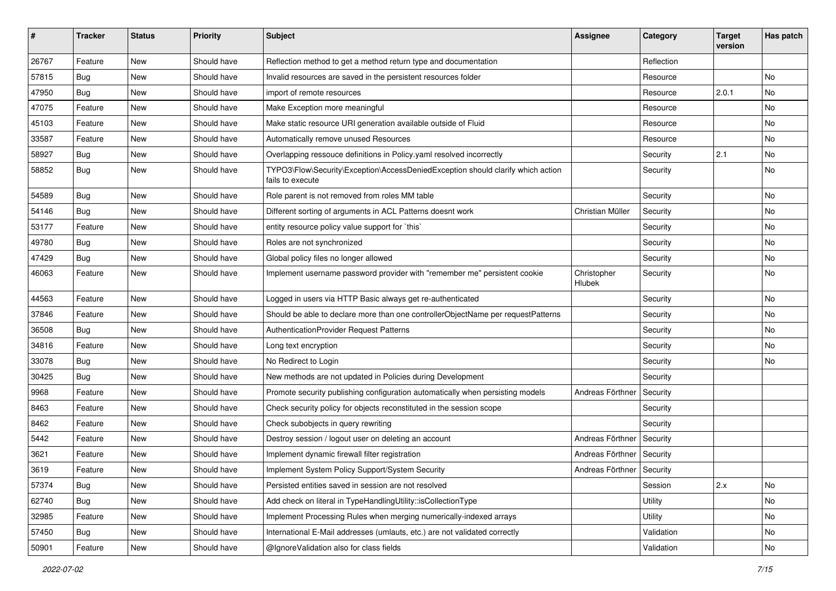| #     | <b>Tracker</b> | <b>Status</b> | <b>Priority</b> | <b>Subject</b>                                                                                      | <b>Assignee</b>             | Category   | <b>Target</b><br>version | Has patch |
|-------|----------------|---------------|-----------------|-----------------------------------------------------------------------------------------------------|-----------------------------|------------|--------------------------|-----------|
| 26767 | Feature        | New           | Should have     | Reflection method to get a method return type and documentation                                     |                             | Reflection |                          |           |
| 57815 | Bug            | New           | Should have     | Invalid resources are saved in the persistent resources folder                                      |                             | Resource   |                          | No        |
| 47950 | Bug            | New           | Should have     | import of remote resources                                                                          |                             | Resource   | 2.0.1                    | No        |
| 47075 | Feature        | New           | Should have     | Make Exception more meaningful                                                                      |                             | Resource   |                          | No        |
| 45103 | Feature        | New           | Should have     | Make static resource URI generation available outside of Fluid                                      |                             | Resource   |                          | No        |
| 33587 | Feature        | New           | Should have     | Automatically remove unused Resources                                                               |                             | Resource   |                          | No        |
| 58927 | Bug            | New           | Should have     | Overlapping ressouce definitions in Policy.yaml resolved incorrectly                                |                             | Security   | 2.1                      | No        |
| 58852 | Bug            | New           | Should have     | TYPO3\Flow\Security\Exception\AccessDeniedException should clarify which action<br>fails to execute |                             | Security   |                          | No        |
| 54589 | Bug            | New           | Should have     | Role parent is not removed from roles MM table                                                      |                             | Security   |                          | No        |
| 54146 | Bug            | New           | Should have     | Different sorting of arguments in ACL Patterns doesnt work                                          | Christian Müller            | Security   |                          | No        |
| 53177 | Feature        | New           | Should have     | entity resource policy value support for `this`                                                     |                             | Security   |                          | No        |
| 49780 | Bug            | New           | Should have     | Roles are not synchronized                                                                          |                             | Security   |                          | No        |
| 47429 | Bug            | New           | Should have     | Global policy files no longer allowed                                                               |                             | Security   |                          | No        |
| 46063 | Feature        | New           | Should have     | Implement username password provider with "remember me" persistent cookie                           | Christopher<br>Hlubek       | Security   |                          | No        |
| 44563 | Feature        | New           | Should have     | Logged in users via HTTP Basic always get re-authenticated                                          |                             | Security   |                          | No        |
| 37846 | Feature        | New           | Should have     | Should be able to declare more than one controllerObjectName per requestPatterns                    |                             | Security   |                          | No        |
| 36508 | Bug            | New           | Should have     | AuthenticationProvider Request Patterns                                                             |                             | Security   |                          | No        |
| 34816 | Feature        | New           | Should have     | Long text encryption                                                                                |                             | Security   |                          | No        |
| 33078 | Bug            | New           | Should have     | No Redirect to Login                                                                                |                             | Security   |                          | No        |
| 30425 | <b>Bug</b>     | New           | Should have     | New methods are not updated in Policies during Development                                          |                             | Security   |                          |           |
| 9968  | Feature        | New           | Should have     | Promote security publishing configuration automatically when persisting models                      | Andreas Förthner            | Security   |                          |           |
| 8463  | Feature        | New           | Should have     | Check security policy for objects reconstituted in the session scope                                |                             | Security   |                          |           |
| 8462  | Feature        | New           | Should have     | Check subobjects in query rewriting                                                                 |                             | Security   |                          |           |
| 5442  | Feature        | New           | Should have     | Destroy session / logout user on deleting an account                                                | Andreas Förthner            | Security   |                          |           |
| 3621  | Feature        | New           | Should have     | Implement dynamic firewall filter registration                                                      | Andreas Förthner   Security |            |                          |           |
| 3619  | Feature        | New           | Should have     | Implement System Policy Support/System Security                                                     | Andreas Förthner   Security |            |                          |           |
| 57374 | Bug            | New           | Should have     | Persisted entities saved in session are not resolved                                                |                             | Session    | 2.x                      | No        |
| 62740 | Bug            | New           | Should have     | Add check on literal in TypeHandlingUtility::isCollectionType                                       |                             | Utility    |                          | No        |
| 32985 | Feature        | New           | Should have     | Implement Processing Rules when merging numerically-indexed arrays                                  |                             | Utility    |                          | No        |
| 57450 | Bug            | New           | Should have     | International E-Mail addresses (umlauts, etc.) are not validated correctly                          |                             | Validation |                          | No        |
| 50901 | Feature        | New           | Should have     | @IgnoreValidation also for class fields                                                             |                             | Validation |                          | No        |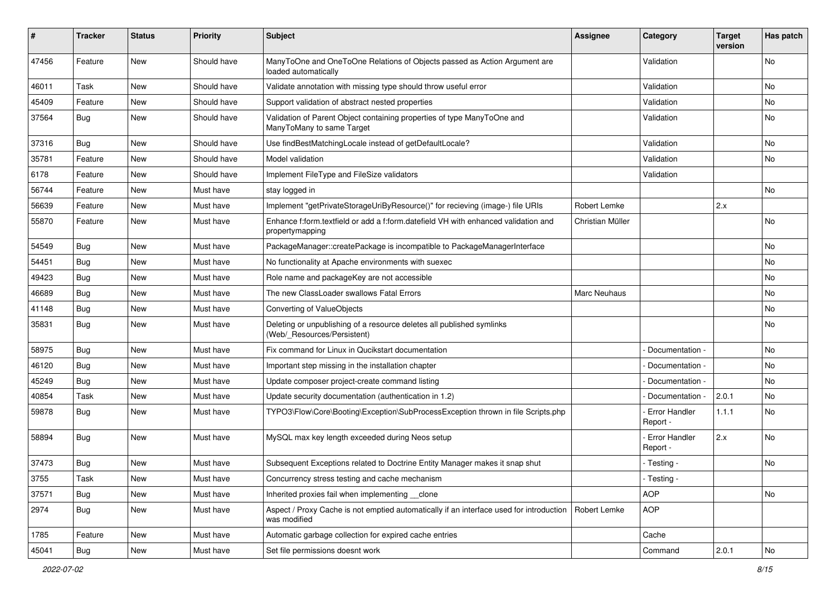| ∦     | <b>Tracker</b> | <b>Status</b> | <b>Priority</b> | <b>Subject</b>                                                                                          | Assignee            | Category                    | <b>Target</b><br>version | Has patch     |
|-------|----------------|---------------|-----------------|---------------------------------------------------------------------------------------------------------|---------------------|-----------------------------|--------------------------|---------------|
| 47456 | Feature        | <b>New</b>    | Should have     | ManyToOne and OneToOne Relations of Objects passed as Action Argument are<br>loaded automatically       |                     | Validation                  |                          | No.           |
| 46011 | Task           | <b>New</b>    | Should have     | Validate annotation with missing type should throw useful error                                         |                     | Validation                  |                          | No            |
| 45409 | Feature        | <b>New</b>    | Should have     | Support validation of abstract nested properties                                                        |                     | Validation                  |                          | No            |
| 37564 | Bug            | <b>New</b>    | Should have     | Validation of Parent Object containing properties of type ManyToOne and<br>ManyToMany to same Target    |                     | Validation                  |                          | No            |
| 37316 | Bug            | <b>New</b>    | Should have     | Use findBestMatchingLocale instead of getDefaultLocale?                                                 |                     | Validation                  |                          | No            |
| 35781 | Feature        | <b>New</b>    | Should have     | Model validation                                                                                        |                     | Validation                  |                          | No            |
| 6178  | Feature        | <b>New</b>    | Should have     | Implement FileType and FileSize validators                                                              |                     | Validation                  |                          |               |
| 56744 | Feature        | <b>New</b>    | Must have       | stay logged in                                                                                          |                     |                             |                          | No.           |
| 56639 | Feature        | <b>New</b>    | Must have       | Implement "getPrivateStorageUriByResource()" for recieving (image-) file URIs                           | Robert Lemke        |                             | 2.x                      |               |
| 55870 | Feature        | <b>New</b>    | Must have       | Enhance f:form.textfield or add a f:form.datefield VH with enhanced validation and<br>propertymapping   | Christian Müller    |                             |                          | <b>No</b>     |
| 54549 | Bug            | <b>New</b>    | Must have       | PackageManager::createPackage is incompatible to PackageManagerInterface                                |                     |                             |                          | No            |
| 54451 | Bug            | New           | Must have       | No functionality at Apache environments with suexec                                                     |                     |                             |                          | No            |
| 49423 | Bug            | <b>New</b>    | Must have       | Role name and packageKey are not accessible                                                             |                     |                             |                          | No.           |
| 46689 | Bug            | <b>New</b>    | Must have       | The new ClassLoader swallows Fatal Errors                                                               | <b>Marc Neuhaus</b> |                             |                          | No            |
| 41148 | Bug            | <b>New</b>    | Must have       | Converting of ValueObjects                                                                              |                     |                             |                          | No.           |
| 35831 | <b>Bug</b>     | <b>New</b>    | Must have       | Deleting or unpublishing of a resource deletes all published symlinks<br>(Web/_Resources/Persistent)    |                     |                             |                          | No.           |
| 58975 | Bug            | <b>New</b>    | Must have       | Fix command for Linux in Qucikstart documentation                                                       |                     | Documentation -             |                          | No            |
| 46120 | Bug            | <b>New</b>    | Must have       | Important step missing in the installation chapter                                                      |                     | Documentation -             |                          | No.           |
| 45249 | Bug            | New           | Must have       | Update composer project-create command listing                                                          |                     | Documentation -             |                          | No            |
| 40854 | Task           | <b>New</b>    | Must have       | Update security documentation (authentication in 1.2)                                                   |                     | Documentation -             | 2.0.1                    | No            |
| 59878 | Bug            | <b>New</b>    | Must have       | TYPO3\Flow\Core\Booting\Exception\SubProcessException thrown in file Scripts.php                        |                     | - Error Handler<br>Report - | 1.1.1                    | No.           |
| 58894 | <b>Bug</b>     | <b>New</b>    | Must have       | MySQL max key length exceeded during Neos setup                                                         |                     | - Error Handler<br>Report - | 2.x                      | No.           |
| 37473 | Bug            | <b>New</b>    | Must have       | Subsequent Exceptions related to Doctrine Entity Manager makes it snap shut                             |                     | - Testing -                 |                          | No            |
| 3755  | Task           | New           | Must have       | Concurrency stress testing and cache mechanism                                                          |                     | - Testing -                 |                          |               |
| 37571 | <b>Bug</b>     | New           | Must have       | Inherited proxies fail when implementing clone                                                          |                     | <b>AOP</b>                  |                          | No            |
| 2974  | Bug            | New           | Must have       | Aspect / Proxy Cache is not emptied automatically if an interface used for introduction<br>was modified | Robert Lemke        | <b>AOP</b>                  |                          |               |
| 1785  | Feature        | New           | Must have       | Automatic garbage collection for expired cache entries                                                  |                     | Cache                       |                          |               |
| 45041 | Bug            | New           | Must have       | Set file permissions doesnt work                                                                        |                     | Command                     | 2.0.1                    | $\mathsf{No}$ |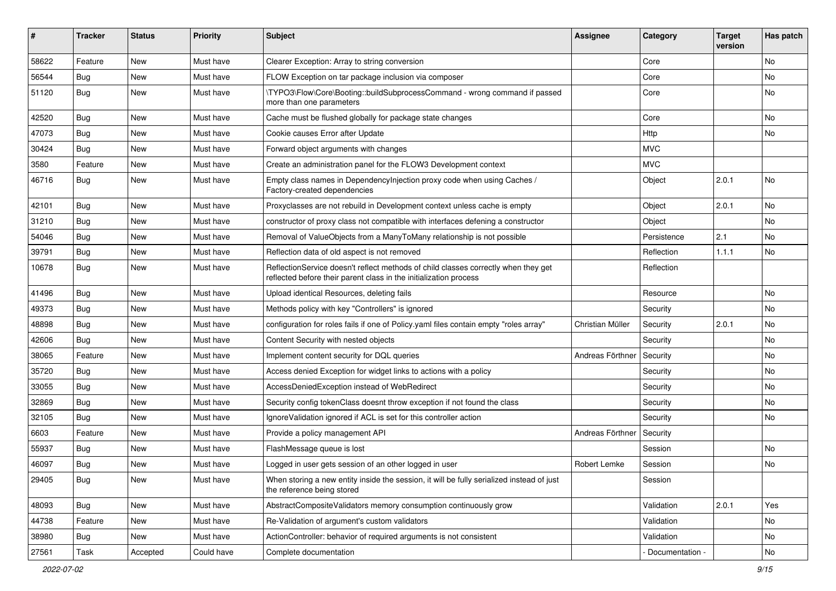| ∦     | <b>Tracker</b> | <b>Status</b> | <b>Priority</b> | <b>Subject</b>                                                                                                                                          | <b>Assignee</b>  | Category        | <b>Target</b><br>version | Has patch |
|-------|----------------|---------------|-----------------|---------------------------------------------------------------------------------------------------------------------------------------------------------|------------------|-----------------|--------------------------|-----------|
| 58622 | Feature        | New           | Must have       | Clearer Exception: Array to string conversion                                                                                                           |                  | Core            |                          | <b>No</b> |
| 56544 | <b>Bug</b>     | New           | Must have       | FLOW Exception on tar package inclusion via composer                                                                                                    |                  | Core            |                          | No        |
| 51120 | <b>Bug</b>     | New           | Must have       | \TYPO3\Flow\Core\Booting::buildSubprocessCommand - wrong command if passed<br>more than one parameters                                                  |                  | Core            |                          | <b>No</b> |
| 42520 | Bug            | <b>New</b>    | Must have       | Cache must be flushed globally for package state changes                                                                                                |                  | Core            |                          | No        |
| 47073 | Bug            | <b>New</b>    | Must have       | Cookie causes Error after Update                                                                                                                        |                  | Http            |                          | No        |
| 30424 | Bug            | New           | Must have       | Forward object arguments with changes                                                                                                                   |                  | <b>MVC</b>      |                          |           |
| 3580  | Feature        | New           | Must have       | Create an administration panel for the FLOW3 Development context                                                                                        |                  | <b>MVC</b>      |                          |           |
| 46716 | Bug            | New           | Must have       | Empty class names in Dependencylnjection proxy code when using Caches /<br>Factory-created dependencies                                                 |                  | Object          | 2.0.1                    | No        |
| 42101 | <b>Bug</b>     | New           | Must have       | Proxyclasses are not rebuild in Development context unless cache is empty                                                                               |                  | Object          | 2.0.1                    | No        |
| 31210 | <b>Bug</b>     | <b>New</b>    | Must have       | constructor of proxy class not compatible with interfaces defening a constructor                                                                        |                  | Object          |                          | <b>No</b> |
| 54046 | <b>Bug</b>     | New           | Must have       | Removal of ValueObjects from a ManyToMany relationship is not possible                                                                                  |                  | Persistence     | 2.1                      | No        |
| 39791 | Bug            | New           | Must have       | Reflection data of old aspect is not removed                                                                                                            |                  | Reflection      | 1.1.1                    | No        |
| 10678 | <b>Bug</b>     | New           | Must have       | ReflectionService doesn't reflect methods of child classes correctly when they get<br>reflected before their parent class in the initialization process |                  | Reflection      |                          |           |
| 41496 | Bug            | New           | Must have       | Upload identical Resources, deleting fails                                                                                                              |                  | Resource        |                          | <b>No</b> |
| 49373 | <b>Bug</b>     | <b>New</b>    | Must have       | Methods policy with key "Controllers" is ignored                                                                                                        |                  | Security        |                          | No        |
| 48898 | <b>Bug</b>     | New           | Must have       | configuration for roles fails if one of Policy yaml files contain empty "roles array"                                                                   | Christian Müller | Security        | 2.0.1                    | No        |
| 42606 | <b>Bug</b>     | <b>New</b>    | Must have       | Content Security with nested objects                                                                                                                    |                  | Security        |                          | <b>No</b> |
| 38065 | Feature        | New           | Must have       | Implement content security for DQL queries                                                                                                              | Andreas Förthner | Security        |                          | No        |
| 35720 | <b>Bug</b>     | <b>New</b>    | Must have       | Access denied Exception for widget links to actions with a policy                                                                                       |                  | Security        |                          | <b>No</b> |
| 33055 | <b>Bug</b>     | New           | Must have       | AccessDeniedException instead of WebRedirect                                                                                                            |                  | Security        |                          | No        |
| 32869 | <b>Bug</b>     | New           | Must have       | Security config tokenClass doesnt throw exception if not found the class                                                                                |                  | Security        |                          | <b>No</b> |
| 32105 | Bug            | <b>New</b>    | Must have       | Ignore Validation ignored if ACL is set for this controller action                                                                                      |                  | Security        |                          | <b>No</b> |
| 6603  | Feature        | New           | Must have       | Provide a policy management API                                                                                                                         | Andreas Förthner | Security        |                          |           |
| 55937 | Bug            | New           | Must have       | FlashMessage queue is lost                                                                                                                              |                  | Session         |                          | <b>No</b> |
| 46097 | <b>Bug</b>     | New           | Must have       | Logged in user gets session of an other logged in user                                                                                                  | Robert Lemke     | Session         |                          | No        |
| 29405 | Bug            | New           | Must have       | When storing a new entity inside the session, it will be fully serialized instead of just<br>the reference being stored                                 |                  | Session         |                          |           |
| 48093 | Bug            | New           | Must have       | AbstractCompositeValidators memory consumption continuously grow                                                                                        |                  | Validation      | 2.0.1                    | Yes       |
| 44738 | Feature        | New           | Must have       | Re-Validation of argument's custom validators                                                                                                           |                  | Validation      |                          | No        |
| 38980 | <b>Bug</b>     | New           | Must have       | ActionController: behavior of required arguments is not consistent                                                                                      |                  | Validation      |                          | No        |
| 27561 | Task           | Accepted      | Could have      | Complete documentation                                                                                                                                  |                  | Documentation - |                          | No        |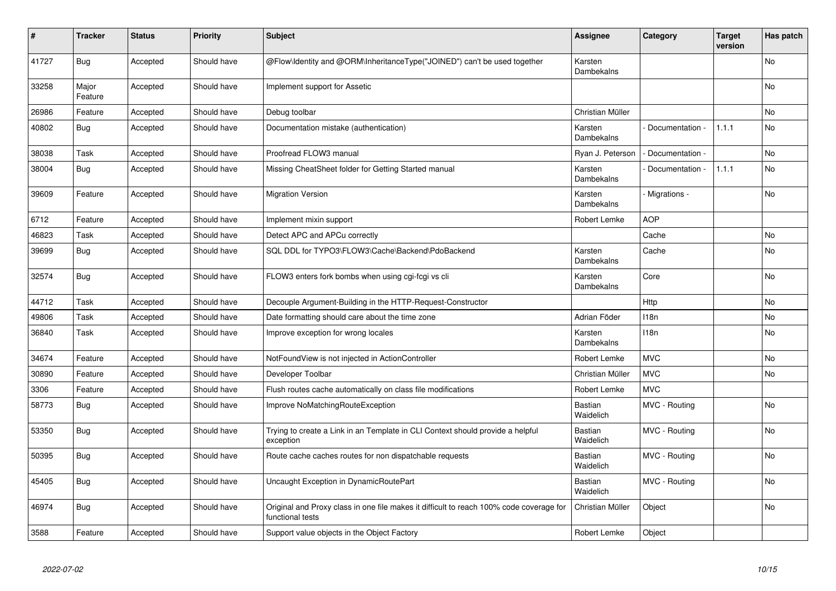| #     | <b>Tracker</b>   | <b>Status</b> | <b>Priority</b> | <b>Subject</b>                                                                                              | <b>Assignee</b>             | Category          | <b>Target</b><br>version | Has patch      |
|-------|------------------|---------------|-----------------|-------------------------------------------------------------------------------------------------------------|-----------------------------|-------------------|--------------------------|----------------|
| 41727 | <b>Bug</b>       | Accepted      | Should have     | @Flow\Identity and @ORM\InheritanceType("JOINED") can't be used together                                    | Karsten<br>Dambekalns       |                   |                          | <b>No</b>      |
| 33258 | Major<br>Feature | Accepted      | Should have     | Implement support for Assetic                                                                               |                             |                   |                          | No             |
| 26986 | Feature          | Accepted      | Should have     | Debug toolbar                                                                                               | Christian Müller            |                   |                          | N <sub>o</sub> |
| 40802 | Bug              | Accepted      | Should have     | Documentation mistake (authentication)                                                                      | Karsten<br>Dambekalns       | Documentation     | 1.1.1                    | N <sub>o</sub> |
| 38038 | Task             | Accepted      | Should have     | Proofread FLOW3 manual                                                                                      | Ryan J. Peterson            | - Documentation - |                          | N <sub>o</sub> |
| 38004 | Bug              | Accepted      | Should have     | Missing CheatSheet folder for Getting Started manual                                                        | Karsten<br>Dambekalns       | Documentation -   | 1.1.1                    | No             |
| 39609 | Feature          | Accepted      | Should have     | <b>Migration Version</b>                                                                                    | Karsten<br>Dambekalns       | - Migrations -    |                          | No             |
| 6712  | Feature          | Accepted      | Should have     | Implement mixin support                                                                                     | Robert Lemke                | <b>AOP</b>        |                          |                |
| 46823 | Task             | Accepted      | Should have     | Detect APC and APCu correctly                                                                               |                             | Cache             |                          | No.            |
| 39699 | <b>Bug</b>       | Accepted      | Should have     | SQL DDL for TYPO3\FLOW3\Cache\Backend\PdoBackend                                                            | Karsten<br>Dambekalns       | Cache             |                          | No             |
| 32574 | <b>Bug</b>       | Accepted      | Should have     | FLOW3 enters fork bombs when using cgi-fcgi vs cli                                                          | Karsten<br>Dambekalns       | Core              |                          | No             |
| 44712 | Task             | Accepted      | Should have     | Decouple Argument-Building in the HTTP-Request-Constructor                                                  |                             | Http              |                          | No             |
| 49806 | Task             | Accepted      | Should have     | Date formatting should care about the time zone                                                             | Adrian Föder                | 118 <sub>n</sub>  |                          | No.            |
| 36840 | Task             | Accepted      | Should have     | Improve exception for wrong locales                                                                         | Karsten<br>Dambekalns       | 118n              |                          | No             |
| 34674 | Feature          | Accepted      | Should have     | NotFoundView is not injected in ActionController                                                            | <b>Robert Lemke</b>         | <b>MVC</b>        |                          | No.            |
| 30890 | Feature          | Accepted      | Should have     | Developer Toolbar                                                                                           | Christian Müller            | <b>MVC</b>        |                          | <b>No</b>      |
| 3306  | Feature          | Accepted      | Should have     | Flush routes cache automatically on class file modifications                                                | Robert Lemke                | <b>MVC</b>        |                          |                |
| 58773 | Bug              | Accepted      | Should have     | Improve NoMatchingRouteException                                                                            | Bastian<br>Waidelich        | MVC - Routing     |                          | No             |
| 53350 | <b>Bug</b>       | Accepted      | Should have     | Trying to create a Link in an Template in CLI Context should provide a helpful<br>exception                 | Bastian<br>Waidelich        | MVC - Routing     |                          | No             |
| 50395 | <b>Bug</b>       | Accepted      | Should have     | Route cache caches routes for non dispatchable requests                                                     | <b>Bastian</b><br>Waidelich | MVC - Routing     |                          | No             |
| 45405 | <b>Bug</b>       | Accepted      | Should have     | Uncaught Exception in DynamicRoutePart                                                                      | <b>Bastian</b><br>Waidelich | MVC - Routing     |                          | No             |
| 46974 | <b>Bug</b>       | Accepted      | Should have     | Original and Proxy class in one file makes it difficult to reach 100% code coverage for<br>functional tests | Christian Müller            | Object            |                          | No             |
| 3588  | Feature          | Accepted      | Should have     | Support value objects in the Object Factory                                                                 | Robert Lemke                | Object            |                          |                |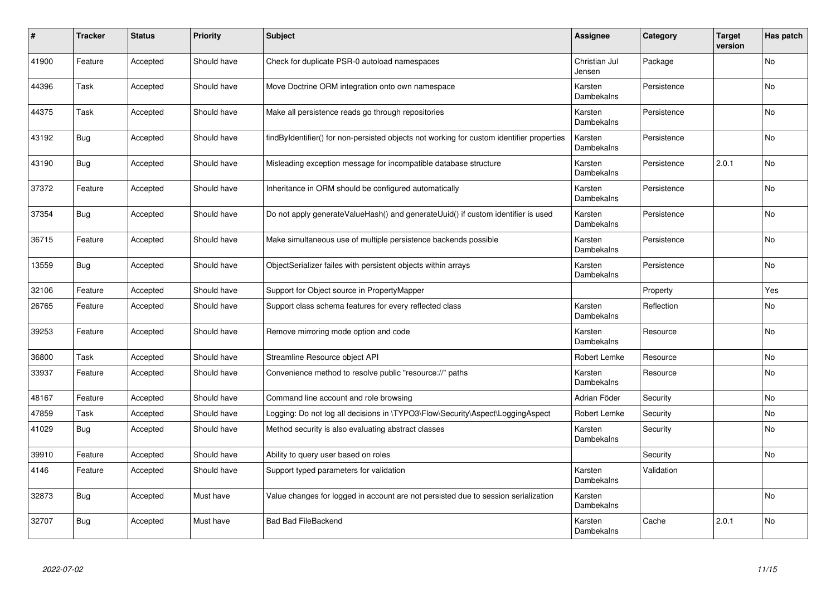| #     | <b>Tracker</b> | <b>Status</b> | <b>Priority</b> | <b>Subject</b>                                                                            | <b>Assignee</b>         | Category    | <b>Target</b><br>version | Has patch |
|-------|----------------|---------------|-----------------|-------------------------------------------------------------------------------------------|-------------------------|-------------|--------------------------|-----------|
| 41900 | Feature        | Accepted      | Should have     | Check for duplicate PSR-0 autoload namespaces                                             | Christian Jul<br>Jensen | Package     |                          | <b>No</b> |
| 44396 | Task           | Accepted      | Should have     | Move Doctrine ORM integration onto own namespace                                          | Karsten<br>Dambekalns   | Persistence |                          | <b>No</b> |
| 44375 | Task           | Accepted      | Should have     | Make all persistence reads go through repositories                                        | Karsten<br>Dambekalns   | Persistence |                          | No        |
| 43192 | Bug            | Accepted      | Should have     | findByIdentifier() for non-persisted objects not working for custom identifier properties | Karsten<br>Dambekalns   | Persistence |                          | <b>No</b> |
| 43190 | <b>Bug</b>     | Accepted      | Should have     | Misleading exception message for incompatible database structure                          | Karsten<br>Dambekalns   | Persistence | 2.0.1                    | <b>No</b> |
| 37372 | Feature        | Accepted      | Should have     | Inheritance in ORM should be configured automatically                                     | Karsten<br>Dambekalns   | Persistence |                          | No        |
| 37354 | Bug            | Accepted      | Should have     | Do not apply generateValueHash() and generateUuid() if custom identifier is used          | Karsten<br>Dambekalns   | Persistence |                          | No        |
| 36715 | Feature        | Accepted      | Should have     | Make simultaneous use of multiple persistence backends possible                           | Karsten<br>Dambekalns   | Persistence |                          | No        |
| 13559 | <b>Bug</b>     | Accepted      | Should have     | ObjectSerializer failes with persistent objects within arrays                             | Karsten<br>Dambekalns   | Persistence |                          | <b>No</b> |
| 32106 | Feature        | Accepted      | Should have     | Support for Object source in PropertyMapper                                               |                         | Property    |                          | Yes       |
| 26765 | Feature        | Accepted      | Should have     | Support class schema features for every reflected class                                   | Karsten<br>Dambekalns   | Reflection  |                          | No        |
| 39253 | Feature        | Accepted      | Should have     | Remove mirroring mode option and code                                                     | Karsten<br>Dambekalns   | Resource    |                          | No        |
| 36800 | Task           | Accepted      | Should have     | Streamline Resource object API                                                            | Robert Lemke            | Resource    |                          | No        |
| 33937 | Feature        | Accepted      | Should have     | Convenience method to resolve public "resource://" paths                                  | Karsten<br>Dambekalns   | Resource    |                          | No        |
| 48167 | Feature        | Accepted      | Should have     | Command line account and role browsing                                                    | Adrian Föder            | Security    |                          | No        |
| 47859 | Task           | Accepted      | Should have     | Logging: Do not log all decisions in \TYPO3\Flow\Security\Aspect\LoggingAspect            | Robert Lemke            | Security    |                          | No        |
| 41029 | Bug            | Accepted      | Should have     | Method security is also evaluating abstract classes                                       | Karsten<br>Dambekalns   | Security    |                          | No        |
| 39910 | Feature        | Accepted      | Should have     | Ability to query user based on roles                                                      |                         | Security    |                          | No        |
| 4146  | Feature        | Accepted      | Should have     | Support typed parameters for validation                                                   | Karsten<br>Dambekalns   | Validation  |                          |           |
| 32873 | Bug            | Accepted      | Must have       | Value changes for logged in account are not persisted due to session serialization        | Karsten<br>Dambekalns   |             |                          | No        |
| 32707 | Bug            | Accepted      | Must have       | <b>Bad Bad FileBackend</b>                                                                | Karsten<br>Dambekalns   | Cache       | 2.0.1                    | No        |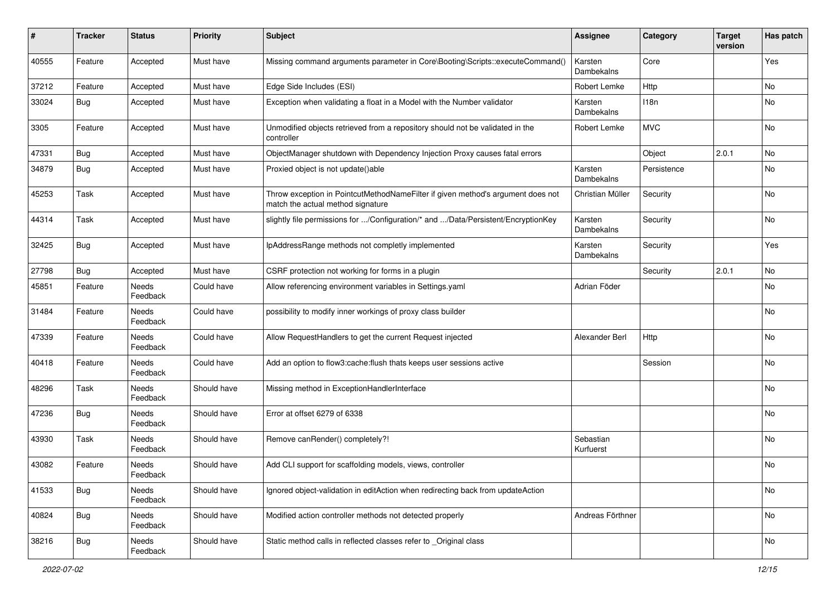| #     | <b>Tracker</b> | <b>Status</b>            | <b>Priority</b> | <b>Subject</b>                                                                                                       | Assignee               | Category    | <b>Target</b><br>version | Has patch |
|-------|----------------|--------------------------|-----------------|----------------------------------------------------------------------------------------------------------------------|------------------------|-------------|--------------------------|-----------|
| 40555 | Feature        | Accepted                 | Must have       | Missing command arguments parameter in Core\Booting\Scripts::executeCommand()                                        | Karsten<br>Dambekalns  | Core        |                          | Yes       |
| 37212 | Feature        | Accepted                 | Must have       | Edge Side Includes (ESI)                                                                                             | Robert Lemke           | Http        |                          | No        |
| 33024 | Bug            | Accepted                 | Must have       | Exception when validating a float in a Model with the Number validator                                               | Karsten<br>Dambekalns  | 118n        |                          | No        |
| 3305  | Feature        | Accepted                 | Must have       | Unmodified objects retrieved from a repository should not be validated in the<br>controller                          | Robert Lemke           | <b>MVC</b>  |                          | No        |
| 47331 | Bug            | Accepted                 | Must have       | ObjectManager shutdown with Dependency Injection Proxy causes fatal errors                                           |                        | Object      | 2.0.1                    | No        |
| 34879 | Bug            | Accepted                 | Must have       | Proxied object is not update()able                                                                                   | Karsten<br>Dambekalns  | Persistence |                          | No        |
| 45253 | Task           | Accepted                 | Must have       | Throw exception in PointcutMethodNameFilter if given method's argument does not<br>match the actual method signature | Christian Müller       | Security    |                          | No        |
| 44314 | Task           | Accepted                 | Must have       | slightly file permissions for /Configuration/* and /Data/Persistent/EncryptionKey                                    | Karsten<br>Dambekalns  | Security    |                          | No        |
| 32425 | Bug            | Accepted                 | Must have       | IpAddressRange methods not completly implemented                                                                     | Karsten<br>Dambekalns  | Security    |                          | Yes       |
| 27798 | <b>Bug</b>     | Accepted                 | Must have       | CSRF protection not working for forms in a plugin                                                                    |                        | Security    | 2.0.1                    | No        |
| 45851 | Feature        | Needs<br>Feedback        | Could have      | Allow referencing environment variables in Settings.yaml                                                             | Adrian Föder           |             |                          | No        |
| 31484 | Feature        | <b>Needs</b><br>Feedback | Could have      | possibility to modify inner workings of proxy class builder                                                          |                        |             |                          | No        |
| 47339 | Feature        | Needs<br>Feedback        | Could have      | Allow RequestHandlers to get the current Request injected                                                            | Alexander Berl         | Http        |                          | No        |
| 40418 | Feature        | Needs<br>Feedback        | Could have      | Add an option to flow3:cache:flush thats keeps user sessions active                                                  |                        | Session     |                          | No        |
| 48296 | Task           | Needs<br>Feedback        | Should have     | Missing method in ExceptionHandlerInterface                                                                          |                        |             |                          | No        |
| 47236 | <b>Bug</b>     | Needs<br>Feedback        | Should have     | Error at offset 6279 of 6338                                                                                         |                        |             |                          | No        |
| 43930 | Task           | Needs<br>Feedback        | Should have     | Remove canRender() completely?!                                                                                      | Sebastian<br>Kurfuerst |             |                          | No        |
| 43082 | Feature        | Needs<br>Feedback        | Should have     | Add CLI support for scaffolding models, views, controller                                                            |                        |             |                          | No        |
| 41533 | <b>Bug</b>     | Needs<br>Feedback        | Should have     | Ignored object-validation in editAction when redirecting back from updateAction                                      |                        |             |                          | No        |
| 40824 | Bug            | Needs<br>Feedback        | Should have     | Modified action controller methods not detected properly                                                             | Andreas Förthner       |             |                          | No        |
| 38216 | <b>Bug</b>     | Needs<br>Feedback        | Should have     | Static method calls in reflected classes refer to _Original class                                                    |                        |             |                          | No        |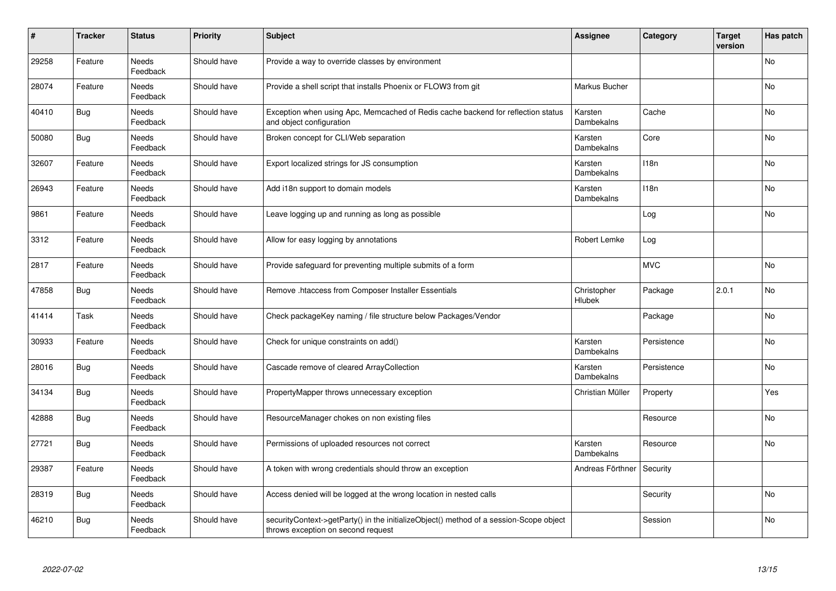| #     | Tracker    | <b>Status</b>            | <b>Priority</b> | <b>Subject</b>                                                                                                               | <b>Assignee</b>              | Category    | <b>Target</b><br>version | Has patch |
|-------|------------|--------------------------|-----------------|------------------------------------------------------------------------------------------------------------------------------|------------------------------|-------------|--------------------------|-----------|
| 29258 | Feature    | <b>Needs</b><br>Feedback | Should have     | Provide a way to override classes by environment                                                                             |                              |             |                          | <b>No</b> |
| 28074 | Feature    | Needs<br>Feedback        | Should have     | Provide a shell script that installs Phoenix or FLOW3 from git                                                               | Markus Bucher                |             |                          | No        |
| 40410 | Bug        | Needs<br>Feedback        | Should have     | Exception when using Apc, Memcached of Redis cache backend for reflection status<br>and object configuration                 | Karsten<br>Dambekalns        | Cache       |                          | No        |
| 50080 | Bug        | Needs<br>Feedback        | Should have     | Broken concept for CLI/Web separation                                                                                        | Karsten<br>Dambekalns        | Core        |                          | <b>No</b> |
| 32607 | Feature    | <b>Needs</b><br>Feedback | Should have     | Export localized strings for JS consumption                                                                                  | Karsten<br>Dambekalns        | 118n        |                          | <b>No</b> |
| 26943 | Feature    | Needs<br>Feedback        | Should have     | Add i18n support to domain models                                                                                            | Karsten<br>Dambekalns        | 118n        |                          | No        |
| 9861  | Feature    | Needs<br>Feedback        | Should have     | Leave logging up and running as long as possible                                                                             |                              | Log         |                          | <b>No</b> |
| 3312  | Feature    | Needs<br>Feedback        | Should have     | Allow for easy logging by annotations                                                                                        | Robert Lemke                 | Log         |                          |           |
| 2817  | Feature    | Needs<br>Feedback        | Should have     | Provide safeguard for preventing multiple submits of a form                                                                  |                              | <b>MVC</b>  |                          | No        |
| 47858 | <b>Bug</b> | <b>Needs</b><br>Feedback | Should have     | Remove .htaccess from Composer Installer Essentials                                                                          | Christopher<br>Hlubek        | Package     | 2.0.1                    | <b>No</b> |
| 41414 | Task       | Needs<br>Feedback        | Should have     | Check packageKey naming / file structure below Packages/Vendor                                                               |                              | Package     |                          | No        |
| 30933 | Feature    | Needs<br>Feedback        | Should have     | Check for unique constraints on add()                                                                                        | Karsten<br>Dambekalns        | Persistence |                          | No        |
| 28016 | <b>Bug</b> | Needs<br>Feedback        | Should have     | Cascade remove of cleared ArrayCollection                                                                                    | Karsten<br>Dambekalns        | Persistence |                          | No        |
| 34134 | <b>Bug</b> | Needs<br>Feedback        | Should have     | PropertyMapper throws unnecessary exception                                                                                  | Christian Müller             | Property    |                          | Yes       |
| 42888 | <b>Bug</b> | Needs<br>Feedback        | Should have     | ResourceManager chokes on non existing files                                                                                 |                              | Resource    |                          | No        |
| 27721 | <b>Bug</b> | Needs<br>Feedback        | Should have     | Permissions of uploaded resources not correct                                                                                | Karsten<br><b>Dambekalns</b> | Resource    |                          | No.       |
| 29387 | Feature    | Needs<br>Feedback        | Should have     | A token with wrong credentials should throw an exception                                                                     | Andreas Förthner             | Security    |                          |           |
| 28319 | <b>Bug</b> | Needs<br>Feedback        | Should have     | Access denied will be logged at the wrong location in nested calls                                                           |                              | Security    |                          | No        |
| 46210 | <b>Bug</b> | Needs<br>Feedback        | Should have     | securityContext->getParty() in the initializeObject() method of a session-Scope object<br>throws exception on second request |                              | Session     |                          | No        |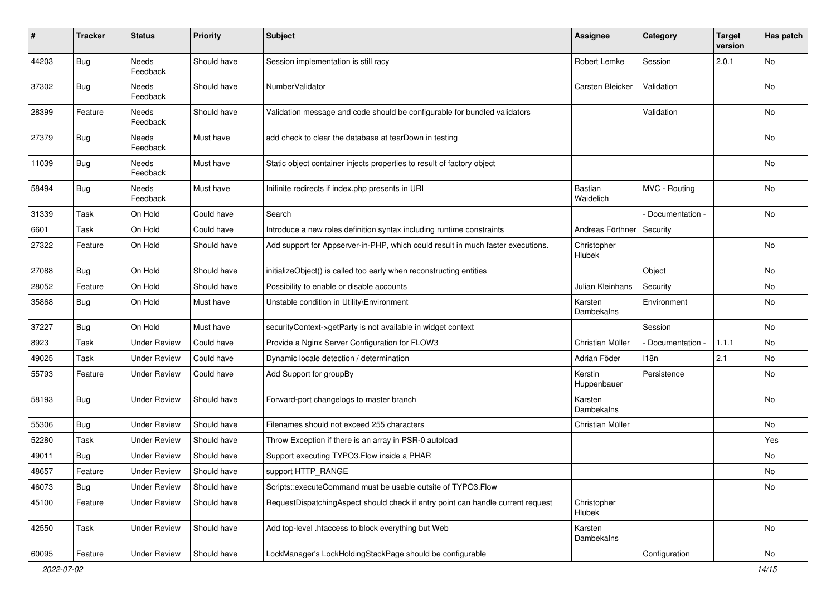| #     | <b>Tracker</b> | <b>Status</b>       | <b>Priority</b> | <b>Subject</b>                                                                  | <b>Assignee</b>             | Category        | <b>Target</b><br>version | Has patch |
|-------|----------------|---------------------|-----------------|---------------------------------------------------------------------------------|-----------------------------|-----------------|--------------------------|-----------|
| 44203 | Bug            | Needs<br>Feedback   | Should have     | Session implementation is still racy                                            | <b>Robert Lemke</b>         | Session         | 2.0.1                    | No        |
| 37302 | <b>Bug</b>     | Needs<br>Feedback   | Should have     | NumberValidator                                                                 | Carsten Bleicker            | Validation      |                          | No        |
| 28399 | Feature        | Needs<br>Feedback   | Should have     | Validation message and code should be configurable for bundled validators       |                             | Validation      |                          | No        |
| 27379 | <b>Bug</b>     | Needs<br>Feedback   | Must have       | add check to clear the database at tearDown in testing                          |                             |                 |                          | No        |
| 11039 | <b>Bug</b>     | Needs<br>Feedback   | Must have       | Static object container injects properties to result of factory object          |                             |                 |                          | No        |
| 58494 | Bug            | Needs<br>Feedback   | Must have       | Inifinite redirects if index.php presents in URI                                | <b>Bastian</b><br>Waidelich | MVC - Routing   |                          | <b>No</b> |
| 31339 | Task           | On Hold             | Could have      | Search                                                                          |                             | Documentation - |                          | No        |
| 6601  | Task           | On Hold             | Could have      | Introduce a new roles definition syntax including runtime constraints           | Andreas Förthner            | Security        |                          |           |
| 27322 | Feature        | On Hold             | Should have     | Add support for Appserver-in-PHP, which could result in much faster executions. | Christopher<br>Hlubek       |                 |                          | No        |
| 27088 | Bug            | On Hold             | Should have     | initializeObject() is called too early when reconstructing entities             |                             | Object          |                          | <b>No</b> |
| 28052 | Feature        | On Hold             | Should have     | Possibility to enable or disable accounts                                       | Julian Kleinhans            | Security        |                          | No        |
| 35868 | <b>Bug</b>     | On Hold             | Must have       | Unstable condition in Utility\Environment                                       | Karsten<br>Dambekalns       | Environment     |                          | No        |
| 37227 | Bug            | On Hold             | Must have       | securityContext->getParty is not available in widget context                    |                             | Session         |                          | No        |
| 8923  | Task           | <b>Under Review</b> | Could have      | Provide a Nginx Server Configuration for FLOW3                                  | Christian Müller            | Documentation - | 1.1.1                    | No        |
| 49025 | Task           | <b>Under Review</b> | Could have      | Dynamic locale detection / determination                                        | Adrian Föder                | 118n            | 2.1                      | No        |
| 55793 | Feature        | <b>Under Review</b> | Could have      | Add Support for groupBy                                                         | Kerstin<br>Huppenbauer      | Persistence     |                          | No        |
| 58193 | <b>Bug</b>     | <b>Under Review</b> | Should have     | Forward-port changelogs to master branch                                        | Karsten<br>Dambekalns       |                 |                          | No        |
| 55306 | Bug            | <b>Under Review</b> | Should have     | Filenames should not exceed 255 characters                                      | Christian Müller            |                 |                          | <b>No</b> |
| 52280 | Task           | <b>Under Review</b> | Should have     | Throw Exception if there is an array in PSR-0 autoload                          |                             |                 |                          | Yes       |
| 49011 | <b>Bug</b>     | <b>Under Review</b> | Should have     | Support executing TYPO3.Flow inside a PHAR                                      |                             |                 |                          | No        |
| 48657 | Feature        | <b>Under Review</b> | Should have     | support HTTP_RANGE                                                              |                             |                 |                          | No        |
| 46073 | <b>Bug</b>     | <b>Under Review</b> | Should have     | Scripts::executeCommand must be usable outsite of TYPO3.Flow                    |                             |                 |                          | No        |
| 45100 | Feature        | <b>Under Review</b> | Should have     | RequestDispatchingAspect should check if entry point can handle current request | Christopher<br>Hlubek       |                 |                          |           |
| 42550 | Task           | <b>Under Review</b> | Should have     | Add top-level .htaccess to block everything but Web                             | Karsten<br>Dambekalns       |                 |                          | No        |
| 60095 | Feature        | <b>Under Review</b> | Should have     | LockManager's LockHoldingStackPage should be configurable                       |                             | Configuration   |                          | No        |